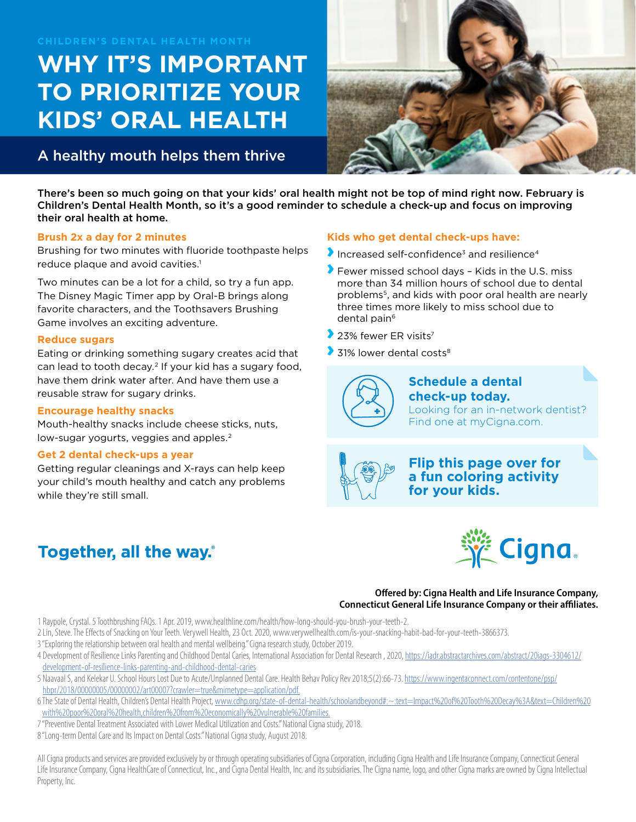#### **CHILDREN'S DENTAL HEALTH MONTH**

# **WHY IT'S IMPORTANT TO PRIORITIZE YOUR KIDS' ORAL HEALTH**

### A healthy mouth helps them thrive



There's been so much going on that your kids' oral health might not be top of mind right now. February is Children's Dental Health Month, so it's a good reminder to schedule a check-up and focus on improving their oral health at home.

#### **Brush 2x a day for 2 minutes**

Brushing for two minutes with fluoride toothpaste helps reduce plaque and avoid cavities.<sup>1</sup>

Two minutes can be a lot for a child, so try a fun app. The Disney Magic Timer app by Oral-B brings along favorite characters, and the Toothsavers Brushing Game involves an exciting adventure.

#### **Reduce sugars**

Eating or drinking something sugary creates acid that can lead to tooth decay.2 If your kid has a sugary food, have them drink water after. And have them use a reusable straw for sugary drinks.

#### **Encourage healthy snacks**

Mouth-healthy snacks include cheese sticks, nuts, low-sugar yogurts, veggies and apples.<sup>2</sup>

#### **Get 2 dental check-ups a year**

Getting regular cleanings and X-rays can help keep your child's mouth healthy and catch any problems while they're still small.

## Together, all the way.

#### **Kids who get dental check-ups have:**

- Increased self-confidence<sup>3</sup> and resilience<sup>4</sup>
- **Fewer missed school days Kids in the U.S. miss** more than 34 million hours of school due to dental problems5, and kids with poor oral health are nearly three times more likely to miss school due to dental pain<sup>6</sup>
- $\blacktriangleright$  23% fewer ER visits<sup>7</sup>
- $\blacktriangleright$  31% lower dental costs<sup>8</sup>

**Schedule a dental check-up today.**  Looking for an in-network dentist? Find one at myCigna.com.



**Flip this page over for a fun coloring activity for your kids.** 



**Offered by: Cigna Health and Life Insurance Company, Connecticut General Life Insurance Company or their affiliates.** 

1 Raypole, Crystal. 5 Toothbrushing FAQs. 1 Apr. 2019, www.healthline.com/health/how-long-should-you-brush-your-teeth-2.

- 2 Lin, Steve. The Effects of Snacking on Your Teeth. Verywell Health, 23 Oct. 2020, www.verywellhealth.com/is-your-snacking-habit-bad-for-your-teeth-3866373.
- 3 "Exploring the relationship between oral health and mental wellbeing." Cigna research study, October 2019.
- 4 Development of Resilience Links Parenting and Childhood Dental Caries, International Association for Dental Research , 2020, [https://iadr.abstractarchives.com/abstract/20iags-3304612/](https://iadr.abstractarchives.com/abstract/20iags-3304612/development-of-resilience-links-parenting-and-childhood-dental-caries) [development-of-resilience-links-parenting-and-childhood-dental-caries](https://iadr.abstractarchives.com/abstract/20iags-3304612/development-of-resilience-links-parenting-and-childhood-dental-caries)
- 5 Naavaal S, and Kelekar U. School Hours Lost Due to Acute/Unplanned Dental Care. Health Behav Policy Rev 2018;5(2):66-73. [https://www.ingentaconnect.com/contentone/psp/](https://www.ingentaconnect.com/contentone/psp/hbpr/2018/00000005/00000002/art00007?crawler=true&mimetype=application/pdf.) [hbpr/2018/00000005/00000002/art00007?crawler=true&mimetype=application/pdf.](https://www.ingentaconnect.com/contentone/psp/hbpr/2018/00000005/00000002/art00007?crawler=true&mimetype=application/pdf.)
- 6 The State of Dental Health, Children's Dental Health Project, [www.cdhp.org/state-of-dental-health/schoolandbeyond#:~:text=Impact%20of%20Tooth%20Decay%3A&text=Children%20](http://www.cdhp.org/state-of-dental-health/schoolandbeyond#:~:text=Impact%20of%20Tooth%20Decay%3A&text=Children%20with%20poor%20oral%20health,children%20from%20economically%20vulnerable%20families.) [with%20poor%20oral%20health,children%20from%20economically%20vulnerable%20families.](http://www.cdhp.org/state-of-dental-health/schoolandbeyond#:~:text=Impact%20of%20Tooth%20Decay%3A&text=Children%20with%20poor%20oral%20health,children%20from%20economically%20vulnerable%20families.)
- 7 "Preventive Dental Treatment Associated with Lower Medical Utilization and Costs." National Cigna study, 2018.
- 8 "Long-term Dental Care and Its Impact on Dental Costs." National Cigna study, August 2018.

All Cigna products and services are provided exclusively by or through operating subsidiaries of Cigna Corporation, including Cigna Health and Life Insurance Company, Connecticut General Life Insurance Company, Cigna HealthCare of Connecticut, Inc., and Cigna Dental Health, Inc. and its subsidiaries. The Cigna name, logo, and other Cigna marks are owned by Cigna Intellectual Property, Inc.